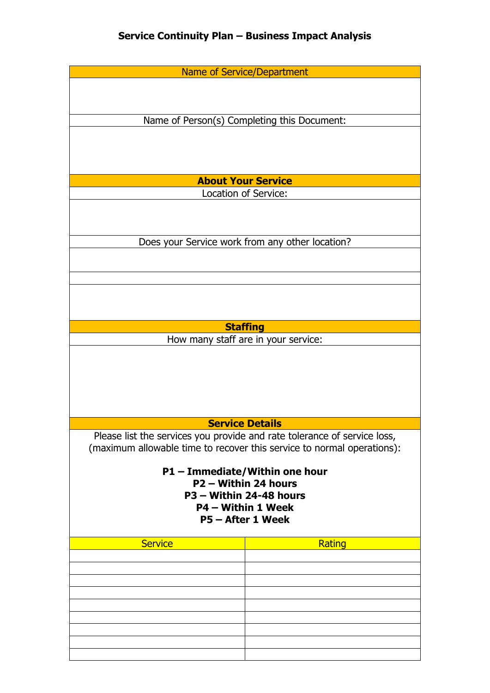|                   | <b>Name of Service/Department</b>                                        |  |
|-------------------|--------------------------------------------------------------------------|--|
|                   |                                                                          |  |
|                   |                                                                          |  |
|                   | Name of Person(s) Completing this Document:                              |  |
|                   |                                                                          |  |
|                   |                                                                          |  |
|                   |                                                                          |  |
|                   |                                                                          |  |
|                   | <b>About Your Service</b>                                                |  |
|                   | Location of Service:                                                     |  |
|                   |                                                                          |  |
|                   |                                                                          |  |
|                   | Does your Service work from any other location?                          |  |
|                   |                                                                          |  |
|                   |                                                                          |  |
|                   |                                                                          |  |
|                   |                                                                          |  |
|                   |                                                                          |  |
|                   | <b>Staffing</b>                                                          |  |
|                   | How many staff are in your service:                                      |  |
|                   |                                                                          |  |
|                   |                                                                          |  |
|                   |                                                                          |  |
|                   |                                                                          |  |
|                   |                                                                          |  |
|                   | <b>Service Details</b>                                                   |  |
|                   | Please list the services you provide and rate tolerance of service loss, |  |
|                   | (maximum allowable time to recover this service to normal operations):   |  |
|                   |                                                                          |  |
|                   | P1 - Immediate/Within one hour                                           |  |
|                   | P2 - Within 24 hours                                                     |  |
|                   | P3 - Within 24-48 hours<br>P4 - Within 1 Week                            |  |
|                   |                                                                          |  |
| P5 - After 1 Week |                                                                          |  |
| <b>Service</b>    | Rating                                                                   |  |
|                   |                                                                          |  |
|                   |                                                                          |  |
|                   |                                                                          |  |
|                   |                                                                          |  |
|                   |                                                                          |  |
|                   |                                                                          |  |
|                   |                                                                          |  |
|                   |                                                                          |  |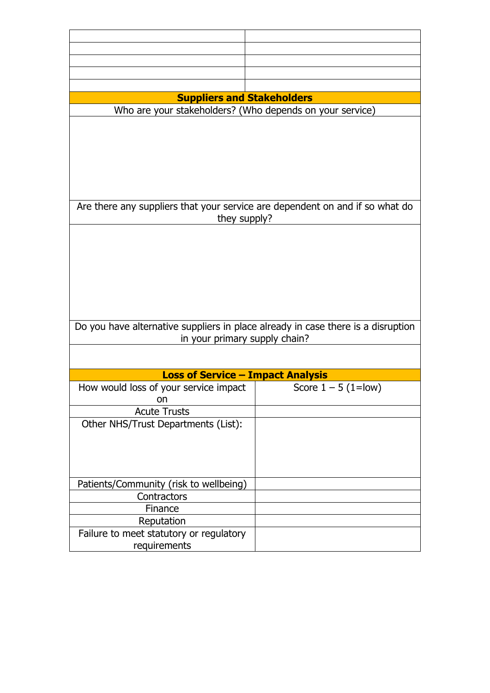| <b>Suppliers and Stakeholders</b>                                                |                       |
|----------------------------------------------------------------------------------|-----------------------|
|                                                                                  |                       |
| Who are your stakeholders? (Who depends on your service)                         |                       |
|                                                                                  |                       |
|                                                                                  |                       |
|                                                                                  |                       |
|                                                                                  |                       |
|                                                                                  |                       |
|                                                                                  |                       |
|                                                                                  |                       |
| Are there any suppliers that your service are dependent on and if so what do     |                       |
| they supply?                                                                     |                       |
|                                                                                  |                       |
|                                                                                  |                       |
|                                                                                  |                       |
|                                                                                  |                       |
|                                                                                  |                       |
|                                                                                  |                       |
|                                                                                  |                       |
|                                                                                  |                       |
| Do you have alternative suppliers in place already in case there is a disruption |                       |
| in your primary supply chain?                                                    |                       |
|                                                                                  |                       |
|                                                                                  |                       |
| <b>Loss of Service - Impact Analysis</b>                                         |                       |
| How would loss of your service impact                                            | Score $1 - 5$ (1=low) |
| on                                                                               |                       |
| <b>Acute Trusts</b>                                                              |                       |
| Other NHS/Trust Departments (List):                                              |                       |
|                                                                                  |                       |
|                                                                                  |                       |
|                                                                                  |                       |
|                                                                                  |                       |
|                                                                                  |                       |
| Patients/Community (risk to wellbeing)                                           |                       |
| Contractors                                                                      |                       |
| Finance                                                                          |                       |
| Reputation                                                                       |                       |
| Failure to meet statutory or regulatory                                          |                       |
| requirements                                                                     |                       |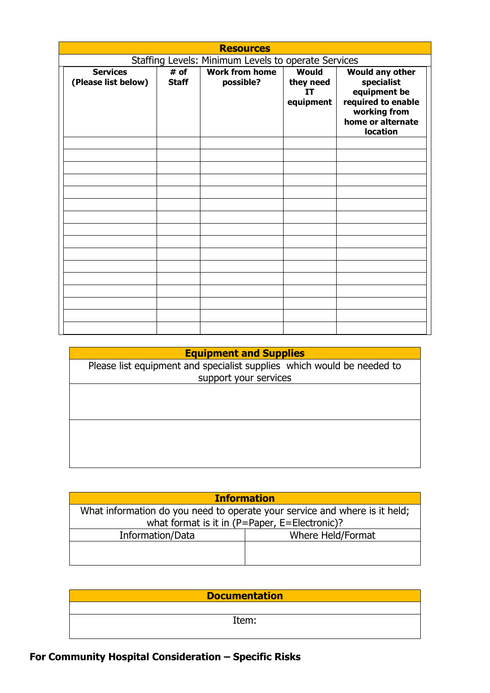| <b>Resources</b>                                    |                      |                                    |                                              |                                                                                                                                    |
|-----------------------------------------------------|----------------------|------------------------------------|----------------------------------------------|------------------------------------------------------------------------------------------------------------------------------------|
| Staffing Levels: Minimum Levels to operate Services |                      |                                    |                                              |                                                                                                                                    |
| <b>Services</b><br>(Please list below)              | # of<br><b>Staff</b> | <b>Work from home</b><br>possible? | <b>Would</b><br>they need<br>IT<br>equipment | <b>Would any other</b><br>specialist<br>equipment be<br>required to enable<br>working from<br>home or alternate<br><b>location</b> |
|                                                     |                      |                                    |                                              |                                                                                                                                    |
|                                                     |                      |                                    |                                              |                                                                                                                                    |
|                                                     |                      |                                    |                                              |                                                                                                                                    |
|                                                     |                      |                                    |                                              |                                                                                                                                    |

## **Equipment and Supplies**

| Please list equipment and specialist supplies which would be needed to |  |  |
|------------------------------------------------------------------------|--|--|
| support your services                                                  |  |  |
|                                                                        |  |  |
|                                                                        |  |  |
|                                                                        |  |  |
|                                                                        |  |  |
|                                                                        |  |  |
|                                                                        |  |  |
|                                                                        |  |  |

| <b>Information</b>                                                         |                   |  |  |
|----------------------------------------------------------------------------|-------------------|--|--|
| What information do you need to operate your service and where is it held; |                   |  |  |
| what format is it in (P=Paper, E=Electronic)?                              |                   |  |  |
| Information/Data                                                           | Where Held/Format |  |  |
|                                                                            |                   |  |  |
|                                                                            |                   |  |  |

| <b>Documentation</b> |  |  |
|----------------------|--|--|
|                      |  |  |
| Item:                |  |  |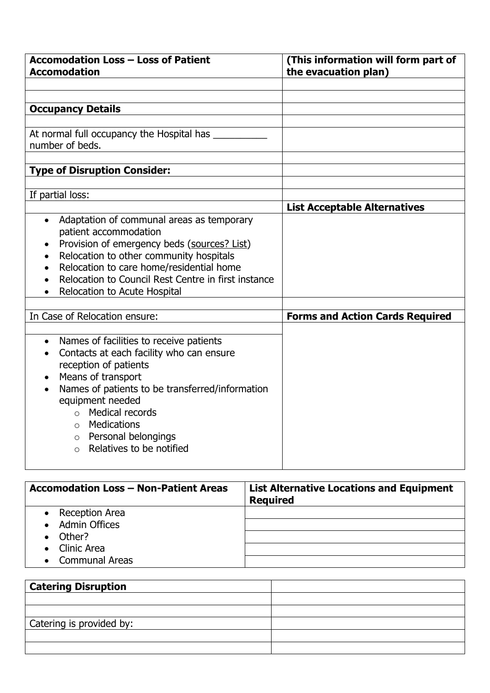| <b>Accomodation Loss - Loss of Patient</b><br><b>Accomodation</b>                                                                                                                                                                                                                                                                                                         | (This information will form part of<br>the evacuation plan) |
|---------------------------------------------------------------------------------------------------------------------------------------------------------------------------------------------------------------------------------------------------------------------------------------------------------------------------------------------------------------------------|-------------------------------------------------------------|
|                                                                                                                                                                                                                                                                                                                                                                           |                                                             |
| <b>Occupancy Details</b>                                                                                                                                                                                                                                                                                                                                                  |                                                             |
|                                                                                                                                                                                                                                                                                                                                                                           |                                                             |
| At normal full occupancy the Hospital has ______<br>number of beds.                                                                                                                                                                                                                                                                                                       |                                                             |
| <b>Type of Disruption Consider:</b>                                                                                                                                                                                                                                                                                                                                       |                                                             |
| If partial loss:                                                                                                                                                                                                                                                                                                                                                          |                                                             |
|                                                                                                                                                                                                                                                                                                                                                                           | <b>List Acceptable Alternatives</b>                         |
| Adaptation of communal areas as temporary<br>$\bullet$<br>patient accommodation<br>Provision of emergency beds (sources? List)<br>Relocation to other community hospitals<br>$\bullet$<br>Relocation to care home/residential home<br>$\bullet$<br>Relocation to Council Rest Centre in first instance<br>Relocation to Acute Hospital<br>$\bullet$                       |                                                             |
| In Case of Relocation ensure:                                                                                                                                                                                                                                                                                                                                             | <b>Forms and Action Cards Required</b>                      |
| Names of facilities to receive patients<br>$\bullet$<br>Contacts at each facility who can ensure<br>$\bullet$<br>reception of patients<br>Means of transport<br>Names of patients to be transferred/information<br>equipment needed<br>Medical records<br>$\cap$<br><b>Medications</b><br>$\Omega$<br>$\circ$ Personal belongings<br>Relatives to be notified<br>$\Omega$ |                                                             |

| <b>Accomodation Loss - Non-Patient Areas</b> | <b>List Alternative Locations and Equipment</b><br><b>Required</b> |
|----------------------------------------------|--------------------------------------------------------------------|
| • Reception Area                             |                                                                    |
| <b>Admin Offices</b>                         |                                                                    |
| Other?                                       |                                                                    |
| • Clinic Area                                |                                                                    |
| • Communal Areas                             |                                                                    |

| <b>Catering Disruption</b> |  |
|----------------------------|--|
|                            |  |
|                            |  |
| Catering is provided by:   |  |
|                            |  |
|                            |  |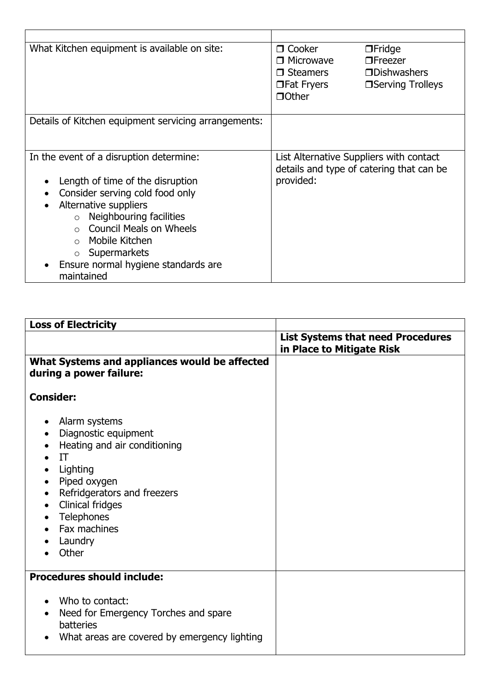| What Kitchen equipment is available on site:                                                                                                                                                                                                                                                                                                                            | □ Cooker<br>$\Box$ Fridge<br>□ Microwave<br>$\Box$ Freezer<br>$\n  Dbishw$<br>□ Steamers<br><b>Serving Trolleys</b><br>□Fat Fryers<br>$\Box$ Other |
|-------------------------------------------------------------------------------------------------------------------------------------------------------------------------------------------------------------------------------------------------------------------------------------------------------------------------------------------------------------------------|----------------------------------------------------------------------------------------------------------------------------------------------------|
| Details of Kitchen equipment servicing arrangements:                                                                                                                                                                                                                                                                                                                    |                                                                                                                                                    |
| In the event of a disruption determine:<br>Length of time of the disruption<br>$\bullet$<br>Consider serving cold food only<br>$\bullet$<br>Alternative suppliers<br>$\bullet$<br>Neighbouring facilities<br>$\circ$<br><b>Council Meals on Wheels</b><br>Mobile Kitchen<br>$\bigcap$<br>Supermarkets<br>Ensure normal hygiene standards are<br>$\bullet$<br>maintained | List Alternative Suppliers with contact<br>details and type of catering that can be<br>provided:                                                   |

| <b>Loss of Electricity</b>                                                                                                                                                                                                                                                                                   |                                                                       |
|--------------------------------------------------------------------------------------------------------------------------------------------------------------------------------------------------------------------------------------------------------------------------------------------------------------|-----------------------------------------------------------------------|
|                                                                                                                                                                                                                                                                                                              | <b>List Systems that need Procedures</b><br>in Place to Mitigate Risk |
| What Systems and appliances would be affected<br>during a power failure:                                                                                                                                                                                                                                     |                                                                       |
| <b>Consider:</b>                                                                                                                                                                                                                                                                                             |                                                                       |
| Alarm systems<br>٠<br>Diagnostic equipment<br>$\bullet$<br>Heating and air conditioning<br>$\bullet$<br>IT<br>Lighting<br>$\bullet$<br>Piped oxygen<br>$\bullet$<br>Refridgerators and freezers<br>$\bullet$<br>Clinical fridges<br>$\bullet$<br>Telephones<br>$\bullet$<br>Fax machines<br>Laundry<br>Other |                                                                       |
| <b>Procedures should include:</b>                                                                                                                                                                                                                                                                            |                                                                       |
| Who to contact:<br>$\bullet$<br>Need for Emergency Torches and spare<br>$\bullet$<br>batteries<br>What areas are covered by emergency lighting<br>$\bullet$                                                                                                                                                  |                                                                       |